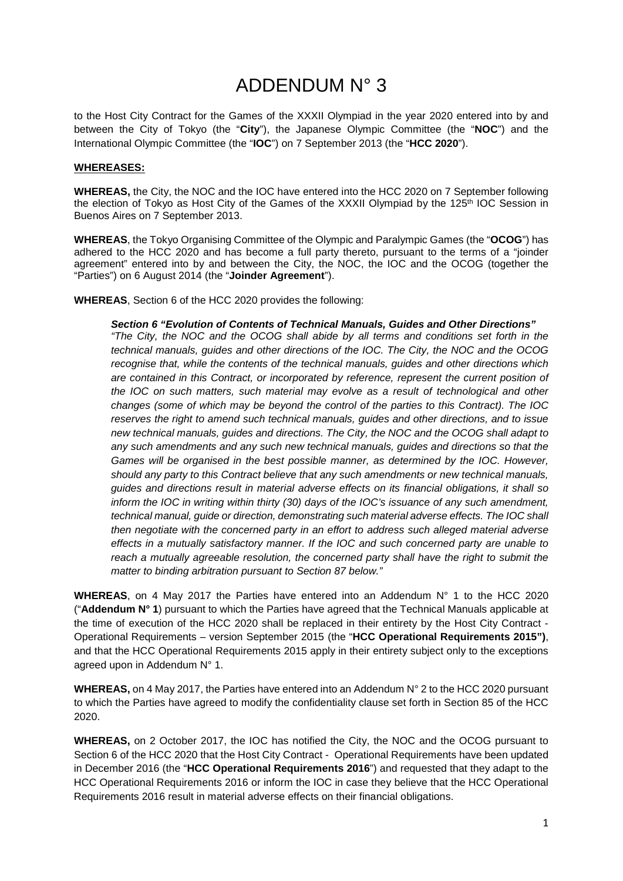### ADDENDUM N° 3

to the Host City Contract for the Games of the XXXII Olympiad in the year 2020 entered into by and between the City of Tokyo (the "**City**"), the Japanese Olympic Committee (the "**NOC**") and the International Olympic Committee (the "**IOC**") on 7 September 2013 (the "**HCC 2020**").

#### **WHEREASES:**

**WHEREAS,** the City, the NOC and the IOC have entered into the HCC 2020 on 7 September following the election of Tokyo as Host City of the Games of the XXXII Olympiad by the 125<sup>th</sup> IOC Session in Buenos Aires on 7 September 2013.

**WHEREAS**, the Tokyo Organising Committee of the Olympic and Paralympic Games (the "**OCOG**") has adhered to the HCC 2020 and has become a full party thereto, pursuant to the terms of a "joinder agreement" entered into by and between the City, the NOC, the IOC and the OCOG (together the "Parties") on 6 August 2014 (the "**Joinder Agreement**").

**WHEREAS**, Section 6 of the HCC 2020 provides the following:

*Section 6 "Evolution of Contents of Technical Manuals, Guides and Other Directions" "The City, the NOC and the OCOG shall abide by all terms and conditions set forth in the technical manuals, guides and other directions of the IOC. The City, the NOC and the OCOG recognise that, while the contents of the technical manuals, guides and other directions which are contained in this Contract, or incorporated by reference, represent the current position of the IOC on such matters, such material may evolve as a result of technological and other changes (some of which may be beyond the control of the parties to this Contract). The IOC reserves the right to amend such technical manuals, guides and other directions, and to issue new technical manuals, guides and directions. The City, the NOC and the OCOG shall adapt to any such amendments and any such new technical manuals, guides and directions so that the Games will be organised in the best possible manner, as determined by the IOC. However, should any party to this Contract believe that any such amendments or new technical manuals, guides and directions result in material adverse effects on its financial obligations, it shall so inform the IOC in writing within thirty (30) days of the IOC's issuance of any such amendment, technical manual, guide or direction, demonstrating such material adverse effects. The IOC shall then negotiate with the concerned party in an effort to address such alleged material adverse effects in a mutually satisfactory manner. If the IOC and such concerned party are unable to*  reach a mutually agreeable resolution, the concerned party shall have the right to submit the *matter to binding arbitration pursuant to Section 87 below."*

**WHEREAS**, on 4 May 2017 the Parties have entered into an Addendum N° 1 to the HCC 2020 ("**Addendum N° 1**) pursuant to which the Parties have agreed that the Technical Manuals applicable at the time of execution of the HCC 2020 shall be replaced in their entirety by the Host City Contract - Operational Requirements – version September 2015 (the "**HCC Operational Requirements 2015")**, and that the HCC Operational Requirements 2015 apply in their entirety subject only to the exceptions agreed upon in Addendum N° 1.

**WHEREAS,** on 4 May 2017, the Parties have entered into an Addendum N° 2 to the HCC 2020 pursuant to which the Parties have agreed to modify the confidentiality clause set forth in Section 85 of the HCC 2020.

**WHEREAS,** on 2 October 2017, the IOC has notified the City, the NOC and the OCOG pursuant to Section 6 of the HCC 2020 that the Host City Contract - Operational Requirements have been updated in December 2016 (the "**HCC Operational Requirements 2016**") and requested that they adapt to the HCC Operational Requirements 2016 or inform the IOC in case they believe that the HCC Operational Requirements 2016 result in material adverse effects on their financial obligations.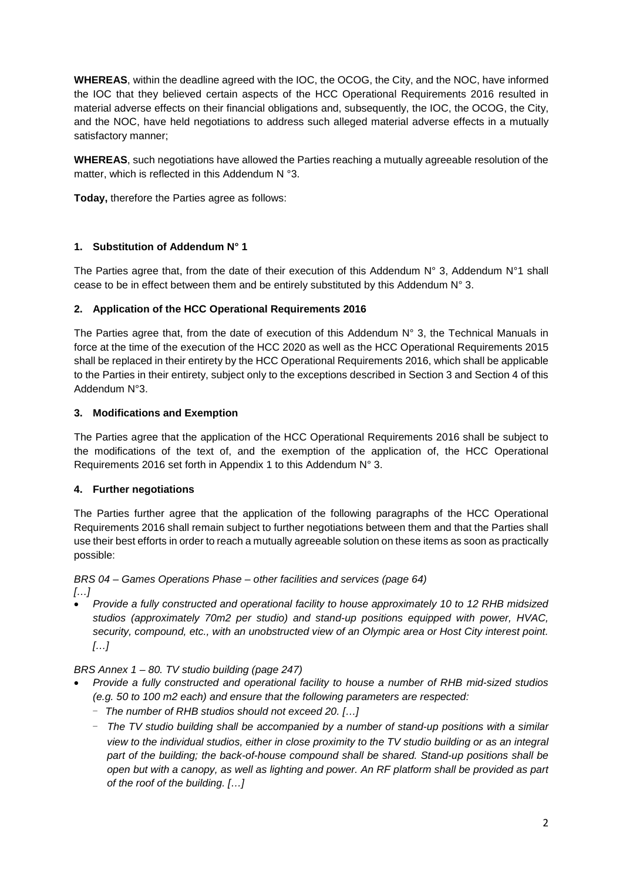**WHEREAS**, within the deadline agreed with the IOC, the OCOG, the City, and the NOC, have informed the IOC that they believed certain aspects of the HCC Operational Requirements 2016 resulted in material adverse effects on their financial obligations and, subsequently, the IOC, the OCOG, the City, and the NOC, have held negotiations to address such alleged material adverse effects in a mutually satisfactory manner;

**WHEREAS**, such negotiations have allowed the Parties reaching a mutually agreeable resolution of the matter, which is reflected in this Addendum N °3.

**Today,** therefore the Parties agree as follows:

### **1. Substitution of Addendum N° 1**

The Parties agree that, from the date of their execution of this Addendum  $N^{\circ}$  3, Addendum  $N^{\circ}$ 1 shall cease to be in effect between them and be entirely substituted by this Addendum  $N^{\circ}$  3.

#### **2. Application of the HCC Operational Requirements 2016**

The Parties agree that, from the date of execution of this Addendum N° 3, the Technical Manuals in force at the time of the execution of the HCC 2020 as well as the HCC Operational Requirements 2015 shall be replaced in their entirety by the HCC Operational Requirements 2016, which shall be applicable to the Parties in their entirety, subject only to the exceptions described in Section 3 and Section 4 of this Addendum N°3.

#### **3. Modifications and Exemption**

The Parties agree that the application of the HCC Operational Requirements 2016 shall be subject to the modifications of the text of, and the exemption of the application of, the HCC Operational Requirements 2016 set forth in Appendix 1 to this Addendum N° 3.

### **4. Further negotiations**

The Parties further agree that the application of the following paragraphs of the HCC Operational Requirements 2016 shall remain subject to further negotiations between them and that the Parties shall use their best efforts in order to reach a mutually agreeable solution on these items as soon as practically possible:

### *BRS 04 – Games Operations Phase – other facilities and services (page 64)*

*[…]*

• *Provide a fully constructed and operational facility to house approximately 10 to 12 RHB midsized studios (approximately 70m2 per studio) and stand-up positions equipped with power, HVAC, security, compound, etc., with an unobstructed view of an Olympic area or Host City interest point. […]*

*BRS Annex 1 – 80. TV studio building (page 247)*

- *Provide a fully constructed and operational facility to house a number of RHB mid-sized studios (e.g. 50 to 100 m2 each) and ensure that the following parameters are respected:* 
	- - *The number of RHB studios should not exceed 20. […]*
	- - *The TV studio building shall be accompanied by a number of stand-up positions with a similar view to the individual studios, either in close proximity to the TV studio building or as an integral part of the building; the back-of-house compound shall be shared. Stand-up positions shall be open but with a canopy, as well as lighting and power. An RF platform shall be provided as part of the roof of the building. […]*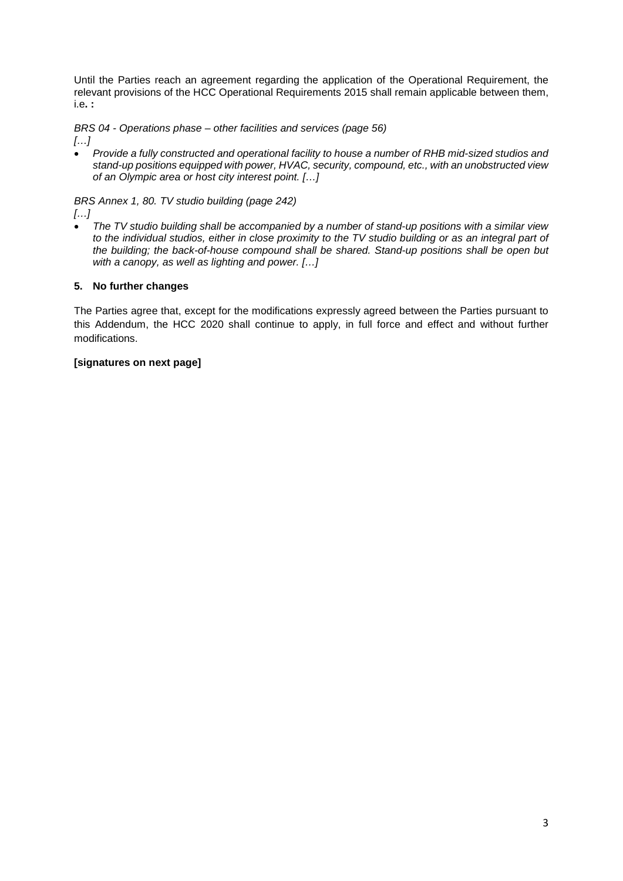Until the Parties reach an agreement regarding the application of the Operational Requirement, the relevant provisions of the HCC Operational Requirements 2015 shall remain applicable between them, i.e**. :**

*BRS 04 - Operations phase – other facilities and services (page 56)*

*[…]*

• *Provide a fully constructed and operational facility to house a number of RHB mid-sized studios and stand-up positions equipped with power, HVAC, security, compound, etc., with an unobstructed view of an Olympic area or host city interest point. […]*

*BRS Annex 1, 80. TV studio building (page 242)*

*[…]*

• *The TV studio building shall be accompanied by a number of stand-up positions with a similar view to the individual studios, either in close proximity to the TV studio building or as an integral part of the building; the back-of-house compound shall be shared. Stand-up positions shall be open but with a canopy, as well as lighting and power. […]*

### **5. No further changes**

The Parties agree that, except for the modifications expressly agreed between the Parties pursuant to this Addendum, the HCC 2020 shall continue to apply, in full force and effect and without further modifications.

#### **[signatures on next page]**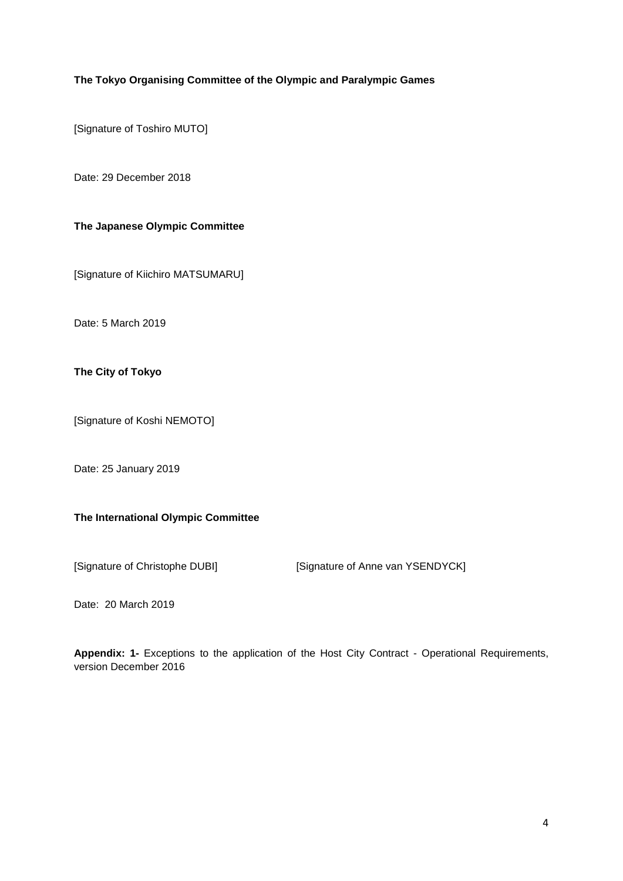#### **The Tokyo Organising Committee of the Olympic and Paralympic Games**

[Signature of Toshiro MUTO]

Date: 29 December 2018

### **The Japanese Olympic Committee**

[Signature of Kiichiro MATSUMARU]

Date: 5 March 2019

**The City of Tokyo** 

[Signature of Koshi NEMOTO]

Date: 25 January 2019

#### **The International Olympic Committee**

[Signature of Christophe DUBI] [Signature of Anne van YSENDYCK]

Date: 20 March 2019

**Appendix: 1-** Exceptions to the application of the Host City Contract - Operational Requirements, version December 2016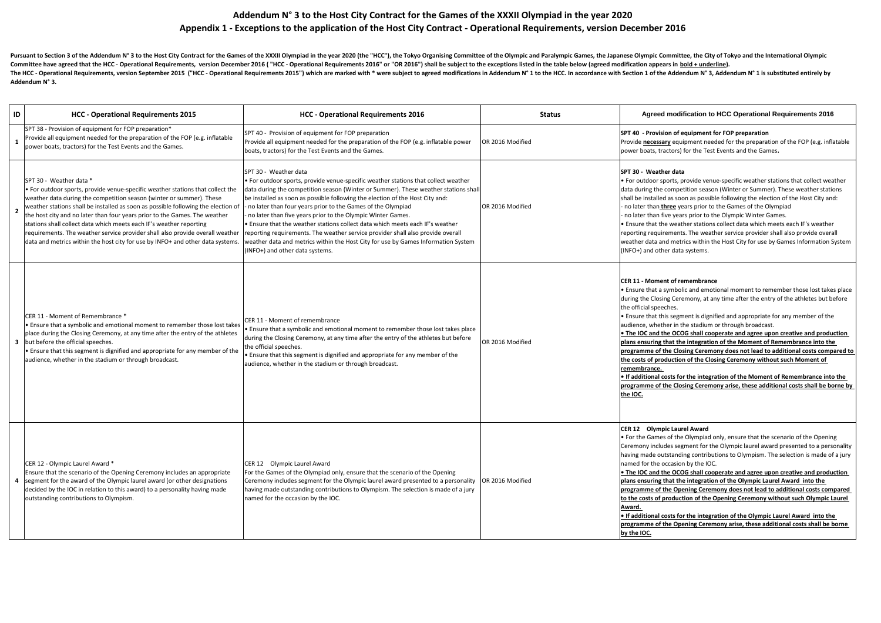| ID | <b>HCC - Operational Requirements 2015</b>                                                                                                                                                                                                                                                                                                                                                                                                                                                                                                                                                          | <b>HCC - Operational Requirements 2016</b>                                                                                                                                                                                                                                                                                                                                                                                                                                                                                                                                                                                                                                                                        | <b>Status</b>    | Agreed modification to HCC Operational Requirements 2016                                                                                                                                                                                                                                                                                                                                                                                                                                                                                                                                                                                                                                                                                                                                                                                                                                                                                                  |
|----|-----------------------------------------------------------------------------------------------------------------------------------------------------------------------------------------------------------------------------------------------------------------------------------------------------------------------------------------------------------------------------------------------------------------------------------------------------------------------------------------------------------------------------------------------------------------------------------------------------|-------------------------------------------------------------------------------------------------------------------------------------------------------------------------------------------------------------------------------------------------------------------------------------------------------------------------------------------------------------------------------------------------------------------------------------------------------------------------------------------------------------------------------------------------------------------------------------------------------------------------------------------------------------------------------------------------------------------|------------------|-----------------------------------------------------------------------------------------------------------------------------------------------------------------------------------------------------------------------------------------------------------------------------------------------------------------------------------------------------------------------------------------------------------------------------------------------------------------------------------------------------------------------------------------------------------------------------------------------------------------------------------------------------------------------------------------------------------------------------------------------------------------------------------------------------------------------------------------------------------------------------------------------------------------------------------------------------------|
|    | SPT 38 - Provision of equipment for FOP preparation*<br>Provide all equipment needed for the preparation of the FOP (e.g. inflatable<br>power boats, tractors) for the Test Events and the Games.                                                                                                                                                                                                                                                                                                                                                                                                   | SPT 40 - Provision of equipment for FOP preparation<br>Provide all equipment needed for the preparation of the FOP (e.g. inflatable power<br>boats, tractors) for the Test Events and the Games.                                                                                                                                                                                                                                                                                                                                                                                                                                                                                                                  | OR 2016 Modified | SPT 40 - Provision of equipment for FOP preparation<br>Provide necessary equipment needed for the preparation of the FOP (e.g. inflatable<br>power boats, tractors) for the Test Events and the Games.                                                                                                                                                                                                                                                                                                                                                                                                                                                                                                                                                                                                                                                                                                                                                    |
|    | SPT 30 - Weather data *<br>$\cdot$ For outdoor sports, provide venue-specific weather stations that collect the<br>weather data during the competition season (winter or summer). These<br>weather stations shall be installed as soon as possible following the election of<br>the host city and no later than four years prior to the Games. The weather<br>stations shall collect data which meets each IF's weather reporting<br>requirements. The weather service provider shall also provide overall weather<br>data and metrics within the host city for use by INFO+ and other data systems | SPT 30 - Weather data<br>• For outdoor sports, provide venue-specific weather stations that collect weather<br>data during the competition season (Winter or Summer). These weather stations shall<br>be installed as soon as possible following the election of the Host City and:<br>- no later than four years prior to the Games of the Olympiad<br>- no later than five years prior to the Olympic Winter Games.<br>. Ensure that the weather stations collect data which meets each IF's weather<br>reporting requirements. The weather service provider shall also provide overall<br>weather data and metrics within the Host City for use by Games Information System<br>(INFO+) and other data systems. | OR 2016 Modified | SPT 30 - Weather data<br>$\cdot$ For outdoor sports, provide venue-specific weather stations that collect weather<br>data during the competition season (Winter or Summer). These weather stations<br>shall be installed as soon as possible following the election of the Host City and:<br>- no later than <b>three</b> years prior to the Games of the Olympiad<br>- no later than five years prior to the Olympic Winter Games.<br>. Ensure that the weather stations collect data which meets each IF's weather<br>reporting requirements. The weather service provider shall also provide overall<br>weather data and metrics within the Host City for use by Games Information System<br>(INFO+) and other data systems.                                                                                                                                                                                                                           |
|    | CER 11 - Moment of Remembrance *<br><b>E</b> Ensure that a symbolic and emotional moment to remember those lost takes<br>place during the Closing Ceremony, at any time after the entry of the athletes<br>3 but before the official speeches.<br>  Ensure that this segment is dignified and appropriate for any member of the<br>audience, whether in the stadium or through broadcast.                                                                                                                                                                                                           | CER 11 - Moment of remembrance<br>• Ensure that a symbolic and emotional moment to remember those lost takes place<br>during the Closing Ceremony, at any time after the entry of the athletes but before<br>the official speeches.<br>• Ensure that this segment is dignified and appropriate for any member of the<br>audience, whether in the stadium or through broadcast.                                                                                                                                                                                                                                                                                                                                    | OR 2016 Modified | CER 11 - Moment of remembrance<br>$\cdot$ Ensure that a symbolic and emotional moment to remember those lost takes place<br>during the Closing Ceremony, at any time after the entry of the athletes but before<br>the official speeches.<br>$\cdot$ Ensure that this segment is dignified and appropriate for any member of the<br>audience, whether in the stadium or through broadcast.<br>$\bullet$ The IOC and the OCOG shall cooperate and agree upon creative and production<br>plans ensuring that the integration of the Moment of Remembrance into the<br>$\vert$ programme of the Closing Ceremony does not lead to additional costs compared to $\vert$<br>the costs of production of the Closing Ceremony without such Moment of<br>remembrance.<br>$\bullet$ If additional costs for the integration of the Moment of Remembrance into the<br>programme of the Closing Ceremony arise, these additional costs shall be borne by<br>the IOC. |
|    | CER 12 - Olympic Laurel Award *<br>Ensure that the scenario of the Opening Ceremony includes an appropriate<br>segment for the award of the Olympic laurel award (or other designations<br>decided by the IOC in relation to this award) to a personality having made<br>outstanding contributions to Olympism.                                                                                                                                                                                                                                                                                     | CER 12 Olympic Laurel Award<br>For the Games of the Olympiad only, ensure that the scenario of the Opening<br>Ceremony includes segment for the Olympic laurel award presented to a personality  OR 2016 Modified<br>having made outstanding contributions to Olympism. The selection is made of a jury<br>named for the occasion by the IOC.                                                                                                                                                                                                                                                                                                                                                                     |                  | CER 12 Olympic Laurel Award<br>$\cdot$ For the Games of the Olympiad only, ensure that the scenario of the Opening<br>Ceremony includes segment for the Olympic laurel award presented to a personality<br>having made outstanding contributions to Olympism. The selection is made of a jury<br>Inamed for the occasion by the IOC.<br>$\bullet$ The IOC and the OCOG shall cooperate and agree upon creative and production<br>plans ensuring that the integration of the Olympic Laurel Award into the<br>programme of the Opening Ceremony does not lead to additional costs compared<br>to the costs of production of the Opening Ceremony without such Olympic Laurel<br>Award.<br>$\bullet$ If additional costs for the integration of the Olympic Laurel Award into the<br>programme of the Opening Ceremony arise, these additional costs shall be borne<br>by the IOC.                                                                          |

Pursuant to Section 3 of the Addendum N° 3 to the Host City Contract for the Games of the XXXII Olympiad in the year 2020 (the "HCC"), the Tokyo Organising Committee of the Olympic and Paralympic Games, the Japanese Olympi Committee have agreed that the HCC - Operational Requirements, version December 2016 ("HCC - Operational Requirements 2016" or "OR 2016") shall be subject to the exceptions listed in the table below (agreed modification ap The HCC - Operational Requirements, version September 2015 ("HCC - Operational Requirements 2015") which are marked with \* were subject to agreed modifications in Addendum N° 1 to the HCC. In accordance with Section 1 of t **Addendum N° 3.**

# **Addendum N° 3 to the Host City Contract for the Games of the XXXII Olympiad in the year 2020 Appendix 1 - Exceptions to the application of the Host City Contract - Operational Requirements, version December 2016**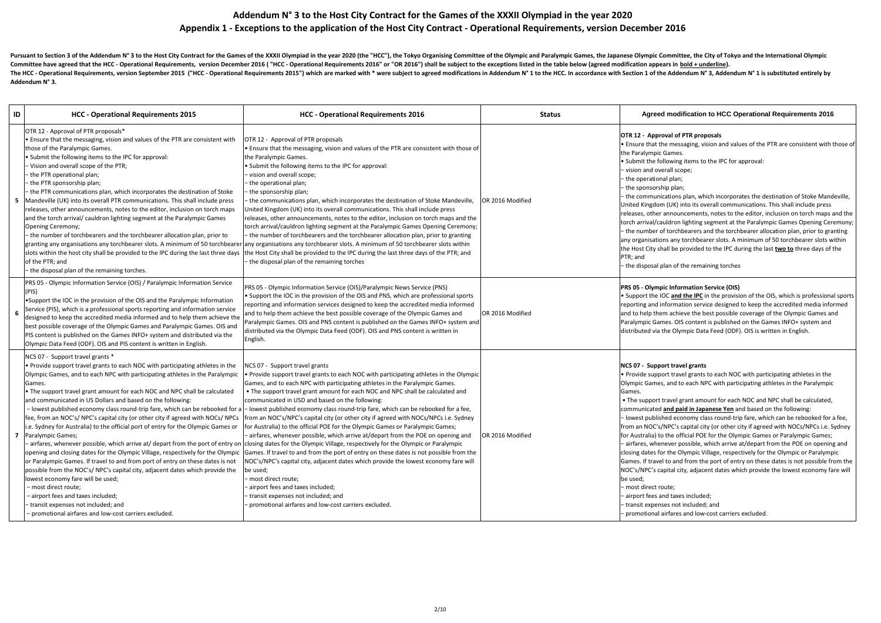| ID | <b>HCC - Operational Requirements 2015</b>                                                                                                                                                                                                                                                                                                                                                                                                                                                                                                                                                                                                                                                                                                                                                                                                                                                                                                                                                                    | <b>HCC - Operational Requirements 2016</b><br><b>Status</b>                                                                                                                                                                                                                                                                                                                                                                                                                                                                                                                                                                                                                                                                                                                                                                                                                                                                                                                                                                                                                                                                                                                                                                                                                                                                             | <b>Agreed modification to HCC Operational Requirements 2016</b>                                                                                                                                                                                                                                                                                                                                                                                                                                                                                                                                                                                                                                                                                                                                                                                                                                                                                                                                                                                                                                                                                                            |
|----|---------------------------------------------------------------------------------------------------------------------------------------------------------------------------------------------------------------------------------------------------------------------------------------------------------------------------------------------------------------------------------------------------------------------------------------------------------------------------------------------------------------------------------------------------------------------------------------------------------------------------------------------------------------------------------------------------------------------------------------------------------------------------------------------------------------------------------------------------------------------------------------------------------------------------------------------------------------------------------------------------------------|-----------------------------------------------------------------------------------------------------------------------------------------------------------------------------------------------------------------------------------------------------------------------------------------------------------------------------------------------------------------------------------------------------------------------------------------------------------------------------------------------------------------------------------------------------------------------------------------------------------------------------------------------------------------------------------------------------------------------------------------------------------------------------------------------------------------------------------------------------------------------------------------------------------------------------------------------------------------------------------------------------------------------------------------------------------------------------------------------------------------------------------------------------------------------------------------------------------------------------------------------------------------------------------------------------------------------------------------|----------------------------------------------------------------------------------------------------------------------------------------------------------------------------------------------------------------------------------------------------------------------------------------------------------------------------------------------------------------------------------------------------------------------------------------------------------------------------------------------------------------------------------------------------------------------------------------------------------------------------------------------------------------------------------------------------------------------------------------------------------------------------------------------------------------------------------------------------------------------------------------------------------------------------------------------------------------------------------------------------------------------------------------------------------------------------------------------------------------------------------------------------------------------------|
| 5  | OTR 12 - Approval of PTR proposals*<br>• Ensure that the messaging, vision and values of the PTR are consistent with<br>those of the Paralympic Games.<br>• Submit the following items to the IPC for approval:<br>- Vision and overall scope of the PTR;<br>the PTR operational plan;<br>the PTR sponsorship plan;<br>the PTR communications plan, which incorporates the destination of Stoke<br>Mandeville (UK) into its overall PTR communications. This shall include press<br>releases, other announcements, notes to the editor, inclusion on torch maps<br>and the torch arrival/ cauldron lighting segment at the Paralympic Games<br>Opening Ceremony;<br>- the number of torchbearers and the torchbearer allocation plan, prior to<br>of the PTR; and<br>the disposal plan of the remaining torches.                                                                                                                                                                                              | OTR 12 - Approval of PTR proposals<br>• Ensure that the messaging, vision and values of the PTR are consistent with those of<br>the Paralympic Games.<br>• Submit the following items to the IPC for approval:<br>- vision and overall scope;<br>- the operational plan;<br>- the sponsorship plan;<br>- the communications plan, which incorporates the destination of Stoke Mandeville,<br>OR 2016 Modified<br>United Kingdom (UK) into its overall communications. This shall include press<br>releases, other announcements, notes to the editor, inclusion on torch maps and the<br>torch arrival/cauldron lighting segment at the Paralympic Games Opening Ceremony;<br>- the number of torchbearers and the torchbearer allocation plan, prior to granting<br>granting any organisations any torchbearer slots. A minimum of 50 torchbearer any organisations any torchbearer slots. A minimum of 50 torchbearer slots within<br>slots within the host city shall be provided to the IPC during the last three days  the Host City shall be provided to the IPC during the last three days of the PTR; and<br>- the disposal plan of the remaining torches                                                                                                                                                                       | OTR 12 - Approval of PTR proposals<br>$\cdot$ Ensure that the messaging, vision and values of the PTR are consistent with those of<br>the Paralympic Games.<br>$\cdot$ Submit the following items to the IPC for approval:<br>- vision and overall scope;<br>the operational plan;<br>the sponsorship plan;<br>- the communications plan, which incorporates the destination of Stoke Mandeville,<br>United Kingdom (UK) into its overall communications. This shall include press<br>releases, other announcements, notes to the editor, inclusion on torch maps and the<br>torch arrival/cauldron lighting segment at the Paralympic Games Opening Ceremony;<br>- the number of torchbearers and the torchbearer allocation plan, prior to granting<br>any organisations any torchbearer slots. A minimum of 50 torchbearer slots within<br>the Host City shall be provided to the IPC during the last two to three days of the<br>PTR; and<br>the disposal plan of the remaining torches                                                                                                                                                                                |
|    | PRS 05 - Olympic Information Service (OIS) / Paralympic Information Service<br>(PIS)<br>•Support the IOC in the provision of the OIS and the Paralympic Information<br>Service (PIS), which is a professional sports reporting and information service<br>designed to keep the accredited media informed and to help them achieve the<br>best possible coverage of the Olympic Games and Paralympic Games. OIS and<br>PIS content is published on the Games INFO+ system and distributed via the<br>Olympic Data Feed (ODF). OIS and PIS content is written in English.                                                                                                                                                                                                                                                                                                                                                                                                                                       | PRS 05 - Olympic Information Service (OIS)/Paralympic News Service (PNS)<br>• Support the IOC in the provision of the OIS and PNS, which are professional sports<br>reporting and information services designed to keep the accredited media informed<br>and to help them achieve the best possible coverage of the Olympic Games and<br>OR 2016 Modified<br>Paralympic Games. OIS and PNS content is published on the Games INFO+ system and<br>distributed via the Olympic Data Feed (ODF). OIS and PNS content is written in<br>English.                                                                                                                                                                                                                                                                                                                                                                                                                                                                                                                                                                                                                                                                                                                                                                                             | <b>PRS 05 - Olympic Information Service (OIS)</b><br>• Support the IOC and the IPC in the provision of the OIS, which is professional sports<br>reporting and information service designed to keep the accredited media informed<br>and to help them achieve the best possible coverage of the Olympic Games and<br>Paralympic Games. OIS content is published on the Games INFO+ system and<br>distributed via the Olympic Data Feed (ODF). OIS is written in English.                                                                                                                                                                                                                                                                                                                                                                                                                                                                                                                                                                                                                                                                                                    |
|    | NCS 07 - Support travel grants *<br>. Provide support travel grants to each NOC with participating athletes in the<br>Olympic Games, and to each NPC with participating athletes in the Paralympic<br>Games.<br>• The support travel grant amount for each NOC and NPC shall be calculated<br>and communicated in US Dollars and based on the following:<br>fee, from an NOC's/ NPC's capital city (or other city if agreed with NOCs/ NPCs<br>i.e. Sydney for Australia) to the official port of entry for the Olympic Games or<br>Paralympic Games;<br>opening and closing dates for the Olympic Village, respectively for the Olympic<br>or Paralympic Games. If travel to and from port of entry on these dates is not<br>possible from the NOC's/NPC's capital city, adjacent dates which provide the<br>lowest economy fare will be used;<br>- most direct route;<br>- airport fees and taxes included;<br>transit expenses not included; and<br>- promotional airfares and low-cost carriers excluded. | NCS 07 - Support travel grants<br>• Provide support travel grants to each NOC with participating athletes in the Olympic<br>Games, and to each NPC with participating athletes in the Paralympic Games.<br>• The support travel grant amount for each NOC and NPC shall be calculated and<br>communicated in USD and based on the following:<br>- lowest published economy class round-trip fare, which can be rebooked for a  - lowest published economy class round-trip fare, which can be rebooked for a fee,<br>from an NOC's/NPC's capital city (or other city if agreed with NOCs/NPCs i.e. Sydney<br>for Australia) to the official POE for the Olympic Games or Paralympic Games;<br>- airfares, whenever possible, which arrive at/depart from the POE on opening and<br>OR 2016 Modified<br>- airfares, whenever possible, which arrive at/ depart from the port of entry on cllosing dates for the Olympic Village, respectively for the Olympic or Paralympic<br>Games. If travel to and from the port of entry on these dates is not possible from the<br>NOC's/NPC's capital city, adjacent dates which provide the lowest economy fare will<br>be used;<br>- most direct route;<br>- airport fees and taxes included;<br>- transit expenses not included; and<br>- promotional airfares and low-cost carriers excluded. | NCS 07 - Support travel grants<br>$\cdot$ Provide support travel grants to each NOC with participating athletes in the<br>Olympic Games, and to each NPC with participating athletes in the Paralympic<br>Games.<br>• The support travel grant amount for each NOC and NPC shall be calculated,<br>communicated and paid in Japanese Yen and based on the following:<br>- lowest published economy class round-trip fare, which can be rebooked for a fee,<br>from an NOC's/NPC's capital city (or other city if agreed with NOCs/NPCs i.e. Sydney<br>for Australia) to the official POE for the Olympic Games or Paralympic Games;<br>- airfares, whenever possible, which arrive at/depart from the POE on opening and<br>closing dates for the Olympic Village, respectively for the Olympic or Paralympic<br>Games. If travel to and from the port of entry on these dates is not possible from the<br>NOC's/NPC's capital city, adjacent dates which provide the lowest economy fare will<br>be used;<br>- most direct route;<br>- airport fees and taxes included;<br>- transit expenses not included; and<br>- promotional airfares and low-cost carriers excluded. |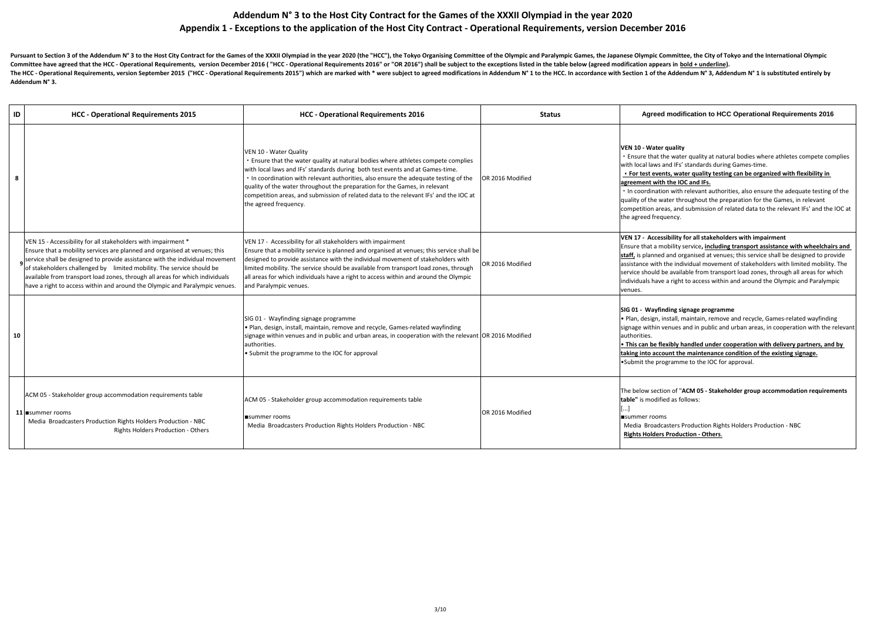| ID | <b>HCC - Operational Requirements 2015</b>                                                                                                                                                                                                                                                                                                                                                                                                                         | <b>HCC - Operational Requirements 2016</b>                                                                                                                                                                                                                                                                                                                                                                                                                                       | <b>Status</b>    | Agreed modification to HCC Operational Requirements 2016                                                                                                                                                                                                                                                                                                                                                                                                                                                                                                                         |
|----|--------------------------------------------------------------------------------------------------------------------------------------------------------------------------------------------------------------------------------------------------------------------------------------------------------------------------------------------------------------------------------------------------------------------------------------------------------------------|----------------------------------------------------------------------------------------------------------------------------------------------------------------------------------------------------------------------------------------------------------------------------------------------------------------------------------------------------------------------------------------------------------------------------------------------------------------------------------|------------------|----------------------------------------------------------------------------------------------------------------------------------------------------------------------------------------------------------------------------------------------------------------------------------------------------------------------------------------------------------------------------------------------------------------------------------------------------------------------------------------------------------------------------------------------------------------------------------|
| 8  |                                                                                                                                                                                                                                                                                                                                                                                                                                                                    | VEN 10 - Water Quality<br>Ensure that the water quality at natural bodies where athletes compete complies<br>with local laws and IFs' standards during both test events and at Games-time.<br>In coordination with relevant authorities, also ensure the adequate testing of the<br>quality of the water throughout the preparation for the Games, in relevant<br>competition areas, and submission of related data to the relevant IFs' and the IOC at<br>the agreed frequency. | OR 2016 Modified | VEN 10 - Water quality<br>. Ensure that the water quality at natural bodies where athletes compete complies<br>with local laws and IFs' standards during Games-time.<br>• For test events, water quality testing can be organized with flexibility in<br>agreement with the IOC and IFs.<br>. In coordination with relevant authorities, also ensure the adequate testing of the<br>quality of the water throughout the preparation for the Games, in relevant<br>competition areas, and submission of related data to the relevant IFs' and the IOC at<br>the agreed frequency. |
|    | VEN 15 - Accessibility for all stakeholders with impairment *<br>Ensure that a mobility services are planned and organised at venues; this<br>service shall be designed to provide assistance with the individual movement<br>of stakeholders challenged by limited mobility. The service should be<br>available from transport load zones, through all areas for which individuals<br>have a right to access within and around the Olympic and Paralympic venues. | VEN 17 - Accessibility for all stakeholders with impairment<br>Ensure that a mobility service is planned and organised at venues; this service shall be<br>designed to provide assistance with the individual movement of stakeholders with<br>limited mobility. The service should be available from transport load zones, through<br>all areas for which individuals have a right to access within and around the Olympic<br>and Paralympic venues.                            | OR 2016 Modified | VEN 17 - Accessibility for all stakeholders with impairment<br>Ensure that a mobility service, <i>including transport assistance with wheelchairs and</i><br>staff, is planned and organised at venues; this service shall be designed to provide<br>assistance with the individual movement of stakeholders with limited mobility. The<br>service should be available from transport load zones, through all areas for which<br>individuals have a right to access within and around the Olympic and Paralympic<br>venues.                                                      |
| 10 |                                                                                                                                                                                                                                                                                                                                                                                                                                                                    | SIG 01 - Wayfinding signage programme<br>• Plan, design, install, maintain, remove and recycle, Games-related wayfinding<br>signage within venues and in public and urban areas, in cooperation with the relevant OR 2016 Modified<br>authorities.<br>Submit the programme to the IOC for approval                                                                                                                                                                               |                  | SIG 01 - Wayfinding signage programme<br>. Plan, design, install, maintain, remove and recycle, Games-related wayfinding<br>signage within venues and in public and urban areas, in cooperation with the relevant<br>authorities.<br>. This can be flexibly handled under cooperation with delivery partners, and by<br>taking into account the maintenance condition of the existing signage.<br>Submit the programme to the IOC for approval.                                                                                                                                  |
|    | ACM 05 - Stakeholder group accommodation requirements table<br>11 summer rooms<br>Media Broadcasters Production Rights Holders Production - NBC<br><b>Rights Holders Production - Others</b>                                                                                                                                                                                                                                                                       | ACM 05 - Stakeholder group accommodation requirements table<br>summer rooms<br>Media Broadcasters Production Rights Holders Production - NBC                                                                                                                                                                                                                                                                                                                                     | OR 2016 Modified | The below section of "ACM 05 - Stakeholder group accommodation requirements<br><b>table"</b> is modified as follows:<br> ■summer rooms<br>Media Broadcasters Production Rights Holders Production - NBC<br><b>Rights Holders Production - Others.</b>                                                                                                                                                                                                                                                                                                                            |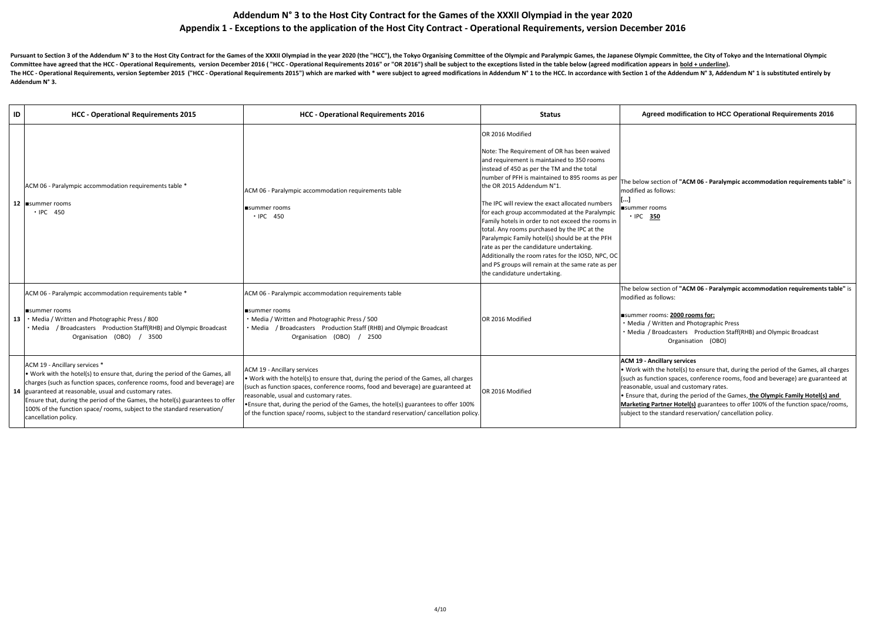| ID | <b>HCC - Operational Requirements 2015</b>                                                                                                                                                                                                                                                                                                                                                                                                         | <b>HCC - Operational Requirements 2016</b>                                                                                                                                                                                                                                                                                                                                                                                                        | <b>Status</b>                                                                                                                                                                                                                                                                                                                                                                                                                                                                                                                                                                                                                                                                                 | Agreed modification to HCC Operational Requirements 2016                                                                                                                                                                                                                                                                                                                                                                                                                    |
|----|----------------------------------------------------------------------------------------------------------------------------------------------------------------------------------------------------------------------------------------------------------------------------------------------------------------------------------------------------------------------------------------------------------------------------------------------------|---------------------------------------------------------------------------------------------------------------------------------------------------------------------------------------------------------------------------------------------------------------------------------------------------------------------------------------------------------------------------------------------------------------------------------------------------|-----------------------------------------------------------------------------------------------------------------------------------------------------------------------------------------------------------------------------------------------------------------------------------------------------------------------------------------------------------------------------------------------------------------------------------------------------------------------------------------------------------------------------------------------------------------------------------------------------------------------------------------------------------------------------------------------|-----------------------------------------------------------------------------------------------------------------------------------------------------------------------------------------------------------------------------------------------------------------------------------------------------------------------------------------------------------------------------------------------------------------------------------------------------------------------------|
|    | ACM 06 - Paralympic accommodation requirements table *<br>12   summer rooms<br>· IPC 450                                                                                                                                                                                                                                                                                                                                                           | ACM 06 - Paralympic accommodation requirements table<br>$\blacksquare$ summer rooms<br>· IPC 450                                                                                                                                                                                                                                                                                                                                                  | OR 2016 Modified<br>Note: The Requirement of OR has been waived<br>and requirement is maintained to 350 rooms<br>instead of 450 as per the TM and the total<br>number of PFH is maintained to 895 rooms as per<br>the OR 2015 Addendum N°1.<br>The IPC will review the exact allocated numbers<br>for each group accommodated at the Paralympic<br>Family hotels in order to not exceed the rooms in<br>total. Any rooms purchased by the IPC at the<br>Paralympic Family hotel(s) should be at the PFH<br>rate as per the candidature undertaking.<br>Additionally the room rates for the IOSD, NPC, OC<br>and PS groups will remain at the same rate as per<br>the candidature undertaking. | The below section of "ACM 06 - Paralympic accommodation requirements ta<br>modified as follows:<br>$\blacksquare$ summer rooms<br>• IPC 350                                                                                                                                                                                                                                                                                                                                 |
|    | ACM 06 - Paralympic accommodation requirements table *<br><b>I</b> summer rooms<br>• Media / Written and Photographic Press / 800<br>• Media / Broadcasters Production Staff(RHB) and Olympic Broadcast<br>Organisation (OBO) / 3500                                                                                                                                                                                                               | ACM 06 - Paralympic accommodation requirements table<br>summer rooms<br>• Media / Written and Photographic Press / 500<br>• Media / Broadcasters Production Staff (RHB) and Olympic Broadcast<br>Organisation (OBO) / 2500                                                                                                                                                                                                                        | OR 2016 Modified                                                                                                                                                                                                                                                                                                                                                                                                                                                                                                                                                                                                                                                                              | The below section of "ACM 06 - Paralympic accommodation requirements ta<br>modified as follows:<br>summer rooms: 2000 rooms for:<br>· Media / Written and Photographic Press<br>• Media / Broadcasters  Production Staff(RHB) and Olympic Broadcast<br>Organisation (OBO)                                                                                                                                                                                                   |
|    | ACM 19 - Ancillary services *<br>$\bullet$ Work with the hotel(s) to ensure that, during the period of the Games, all<br>charges (such as function spaces, conference rooms, food and beverage) are<br>14 guaranteed at reasonable, usual and customary rates.<br>Ensure that, during the period of the Games, the hotel(s) guarantees to offer<br>100% of the function space/ rooms, subject to the standard reservation/<br>cancellation policy. | ACM 19 - Ancillary services<br>$\bullet$ Work with the hotel(s) to ensure that, during the period of the Games, all charges<br>(such as function spaces, conference rooms, food and beverage) are guaranteed at<br>reasonable, usual and customary rates.<br><b>Ensure that, during the period of the Games, the hotel(s) guarantees to offer 100%</b><br>of the function space/ rooms, subject to the standard reservation/ cancellation policy. | OR 2016 Modified                                                                                                                                                                                                                                                                                                                                                                                                                                                                                                                                                                                                                                                                              | <b>ACM 19 - Ancillary services</b><br>• Work with the hotel(s) to ensure that, during the period of the Games, all ch<br>(such as function spaces, conference rooms, food and beverage) are guarante<br>reasonable, usual and customary rates.<br>. Ensure that, during the period of the Games, the Olympic Family Hotel(s) a<br>Marketing Partner Hotel(s) guarantees to offer 100% of the function space/ro<br>subject to the standard reservation/ cancellation policy. |

| <b>Status</b>                                                                                                                                                                                                                                                                                                                                                                                                                                  | <b>Agreed modification to HCC Operational Requirements 2016</b>                                                                                                                                                                                                                                                                                                                                                                                                                             |
|------------------------------------------------------------------------------------------------------------------------------------------------------------------------------------------------------------------------------------------------------------------------------------------------------------------------------------------------------------------------------------------------------------------------------------------------|---------------------------------------------------------------------------------------------------------------------------------------------------------------------------------------------------------------------------------------------------------------------------------------------------------------------------------------------------------------------------------------------------------------------------------------------------------------------------------------------|
| OR 2016 Modified                                                                                                                                                                                                                                                                                                                                                                                                                               |                                                                                                                                                                                                                                                                                                                                                                                                                                                                                             |
| Note: The Requirement of OR has been waived<br>and requirement is maintained to 350 rooms<br>instead of 450 as per the TM and the total<br>number of PFH is maintained to 895 rooms as per<br>the OR 2015 Addendum N°1.                                                                                                                                                                                                                        | The below section of "ACM 06 - Paralympic accommodation requirements table" is<br>modified as follows:                                                                                                                                                                                                                                                                                                                                                                                      |
| The IPC will review the exact allocated numbers<br>for each group accommodated at the Paralympic<br>Family hotels in order to not exceed the rooms in<br>total. Any rooms purchased by the IPC at the<br>Paralympic Family hotel(s) should be at the PFH<br>rate as per the candidature undertaking.<br>Additionally the room rates for the IOSD, NPC, OC<br>and PS groups will remain at the same rate as per<br>the candidature undertaking. | []<br>■summer rooms<br>· IPC 350                                                                                                                                                                                                                                                                                                                                                                                                                                                            |
| OR 2016 Modified                                                                                                                                                                                                                                                                                                                                                                                                                               | The below section of "ACM 06 - Paralympic accommodation requirements table" is<br>modified as follows:<br>summer rooms: 2000 rooms for:<br>• Media / Written and Photographic Press<br>• Media / Broadcasters  Production Staff(RHB) and Olympic Broadcast<br>Organisation<br>(OBO)                                                                                                                                                                                                         |
|                                                                                                                                                                                                                                                                                                                                                                                                                                                |                                                                                                                                                                                                                                                                                                                                                                                                                                                                                             |
| OR 2016 Modified                                                                                                                                                                                                                                                                                                                                                                                                                               | <b>ACM 19 - Ancillary services</b><br>. Work with the hotel(s) to ensure that, during the period of the Games, all charges<br>(such as function spaces, conference rooms, food and beverage) are guaranteed at<br>reasonable, usual and customary rates.<br>. Ensure that, during the period of the Games, the Olympic Family Hotel(s) and<br>Marketing Partner Hotel(s) guarantees to offer 100% of the function space/rooms,<br>subject to the standard reservation/ cancellation policy. |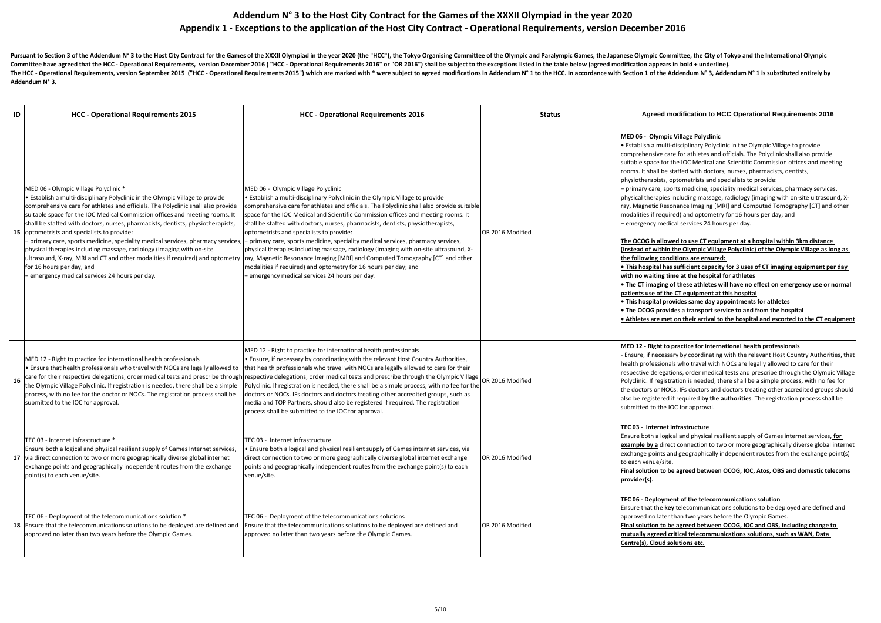| ID | <b>HCC - Operational Requirements 2015</b>                                                                                                                                                                                                                                                                                                                                                                                                                                                                                                                                                                                                                                                                                                             | <b>HCC - Operational Requirements 2016</b>                                                                                                                                                                                                                                                                                                                                                                                                                                                                                                                                                                                                                                                                                                                                                                                   | <b>Status</b>    | Agreed modification to HCC Operational Requirements 2016                                                                                                                                                                                                                                                                                                                                                                                                                                                                                                                                                                                                                                                                                                                                                                                                                                                                                                                                                                                                                                                                                                                                                                                                                                                                                                                                                                                                                                                                                                   |
|----|--------------------------------------------------------------------------------------------------------------------------------------------------------------------------------------------------------------------------------------------------------------------------------------------------------------------------------------------------------------------------------------------------------------------------------------------------------------------------------------------------------------------------------------------------------------------------------------------------------------------------------------------------------------------------------------------------------------------------------------------------------|------------------------------------------------------------------------------------------------------------------------------------------------------------------------------------------------------------------------------------------------------------------------------------------------------------------------------------------------------------------------------------------------------------------------------------------------------------------------------------------------------------------------------------------------------------------------------------------------------------------------------------------------------------------------------------------------------------------------------------------------------------------------------------------------------------------------------|------------------|------------------------------------------------------------------------------------------------------------------------------------------------------------------------------------------------------------------------------------------------------------------------------------------------------------------------------------------------------------------------------------------------------------------------------------------------------------------------------------------------------------------------------------------------------------------------------------------------------------------------------------------------------------------------------------------------------------------------------------------------------------------------------------------------------------------------------------------------------------------------------------------------------------------------------------------------------------------------------------------------------------------------------------------------------------------------------------------------------------------------------------------------------------------------------------------------------------------------------------------------------------------------------------------------------------------------------------------------------------------------------------------------------------------------------------------------------------------------------------------------------------------------------------------------------------|
|    | MED 06 - Olympic Village Polyclinic *<br>• Establish a multi-disciplinary Polyclinic in the Olympic Village to provide<br>comprehensive care for athletes and officials. The Polyclinic shall also provide<br>suitable space for the IOC Medical Commission offices and meeting rooms. It<br>shall be staffed with doctors, nurses, pharmacists, dentists, physiotherapists,<br>15 optometrists and specialists to provide:<br>- primary care, sports medicine, speciality medical services, pharmacy services,<br>physical therapies including massage, radiology (imaging with on-site<br>ultrasound, X-ray, MRI and CT and other modalities if required) and optometry<br>for 16 hours per day, and<br>emergency medical services 24 hours per day. | MED 06 - Olympic Village Polyclinic<br>$\cdot$ Establish a multi-disciplinary Polyclinic in the Olympic Village to provide<br>comprehensive care for athletes and officials. The Polyclinic shall also provide suitable<br>space for the IOC Medical and Scientific Commission offices and meeting rooms. It<br>shall be staffed with doctors, nurses, pharmacists, dentists, physiotherapists,<br>optometrists and specialists to provide:<br>- primary care, sports medicine, speciality medical services, pharmacy services,<br>physical therapies including massage, radiology (imaging with on-site ultrasound, X-<br>ray, Magnetic Resonance Imaging [MRI] and Computed Tomography [CT] and other<br>modalities if required) and optometry for 16 hours per day; and<br>- emergency medical services 24 hours per day. | OR 2016 Modified | MED 06 - Olympic Village Polyclinic<br>$\cdot$ Establish a multi-disciplinary Polyclinic in the Olympic Village to provide<br>comprehensive care for athletes and officials. The Polyclinic shall also provide<br>suitable space for the IOC Medical and Scientific Commission offices and meeting<br>rooms. It shall be staffed with doctors, nurses, pharmacists, dentists,<br>physiotherapists, optometrists and specialists to provide:<br>- primary care, sports medicine, speciality medical services, pharmacy services,<br>physical therapies including massage, radiology (imaging with on-site ultrasound, X-<br>ray, Magnetic Resonance Imaging [MRI] and Computed Tomography [CT] and other<br>modalities if required) and optometry for 16 hours per day; and<br>- emergency medical services 24 hours per day.<br>The OCOG is allowed to use CT equipment at a hospital within 3km distance<br>(instead of within the Olympic Village Polyclinic) of the Olympic Village as long as<br>the following conditions are ensured:<br>. This hospital has sufficient capacity for 3 uses of CT imaging equipment per day<br>with no waiting time at the hospital for athletes<br>. The CT imaging of these athletes will have no effect on emergency use or normal<br>patients use of the CT equipment at this hospital<br>. This hospital provides same day appointments for athletes<br>• The OCOG provides a transport service to and from the hospital<br>• Athletes are met on their arrival to the hospital and escorted to the CT equipment |
| 16 | MED 12 - Right to practice for international health professionals<br>. Ensure that health professionals who travel with NOCs are legally allowed to<br>the Olympic Village Polyclinic. If registration is needed, there shall be a simple<br>process, with no fee for the doctor or NOCs. The registration process shall be<br>submitted to the IOC for approval.                                                                                                                                                                                                                                                                                                                                                                                      | MED 12 - Right to practice for international health professionals<br>• Ensure, if necessary by coordinating with the relevant Host Country Authorities,<br>that health professionals who travel with NOCs are legally allowed to care for their<br>care for their respective delegations, order medical tests and prescribe through respective delegations, order medical tests and prescribe through the Olympic Village OR 2016 Modified<br>Polyclinic. If registration is needed, there shall be a simple process, with no fee for the<br>doctors or NOCs. IFs doctors and doctors treating other accredited groups, such as<br>media and TOP Partners, should also be registered if required. The registration<br>process shall be submitted to the IOC for approval.                                                    |                  | MED 12 - Right to practice for international health professionals<br>- Ensure, if necessary by coordinating with the relevant Host Country Authorities, that<br>health professionals who travel with NOCs are legally allowed to care for their<br>respective delegations, order medical tests and prescribe through the Olympic Village<br>Polyclinic. If registration is needed, there shall be a simple process, with no fee for<br>the doctors or NOCs. IFs doctors and doctors treating other accredited groups should<br>also be registered if required by the authorities. The registration process shall be<br>submitted to the IOC for approval.                                                                                                                                                                                                                                                                                                                                                                                                                                                                                                                                                                                                                                                                                                                                                                                                                                                                                                  |
|    | TEC 03 - Internet infrastructure *<br>Ensure both a logical and physical resilient supply of Games Internet services,<br>17 via direct connection to two or more geographically diverse global internet<br>exchange points and geographically independent routes from the exchange<br>point(s) to each venue/site.                                                                                                                                                                                                                                                                                                                                                                                                                                     | TEC 03 - Internet infrastructure<br>• Ensure both a logical and physical resilient supply of Games internet services, via<br>direct connection to two or more geographically diverse global internet exchange<br>points and geographically independent routes from the exchange point(s) to each<br>venue/site.                                                                                                                                                                                                                                                                                                                                                                                                                                                                                                              | OR 2016 Modified | TEC 03 - Internet infrastructure<br>Ensure both a logical and physical resilient supply of Games internet services, for<br>example by a direct connection to two or more geographically diverse global internet<br>exchange points and geographically independent routes from the exchange point(s)<br>to each venue/site.<br>Final solution to be agreed between OCOG, IOC, Atos, OBS and domestic telecoms<br>provider(s).                                                                                                                                                                                                                                                                                                                                                                                                                                                                                                                                                                                                                                                                                                                                                                                                                                                                                                                                                                                                                                                                                                                               |
|    | TEC 06 - Deployment of the telecommunications solution *<br>18 Ensure that the telecommunications solutions to be deployed are defined and<br>approved no later than two years before the Olympic Games.                                                                                                                                                                                                                                                                                                                                                                                                                                                                                                                                               | TEC 06 - Deployment of the telecommunications solutions<br>Ensure that the telecommunications solutions to be deployed are defined and<br>approved no later than two years before the Olympic Games.                                                                                                                                                                                                                                                                                                                                                                                                                                                                                                                                                                                                                         | OR 2016 Modified | TEC 06 - Deployment of the telecommunications solution<br>Ensure that the <b>key</b> telecommunications solutions to be deployed are defined and<br>approved no later than two years before the Olympic Games.<br>Final solution to be agreed between OCOG, IOC and OBS, including change to<br>mutually agreed critical telecommunications solutions, such as WAN, Data<br>Centre(s), Cloud solutions etc.                                                                                                                                                                                                                                                                                                                                                                                                                                                                                                                                                                                                                                                                                                                                                                                                                                                                                                                                                                                                                                                                                                                                                |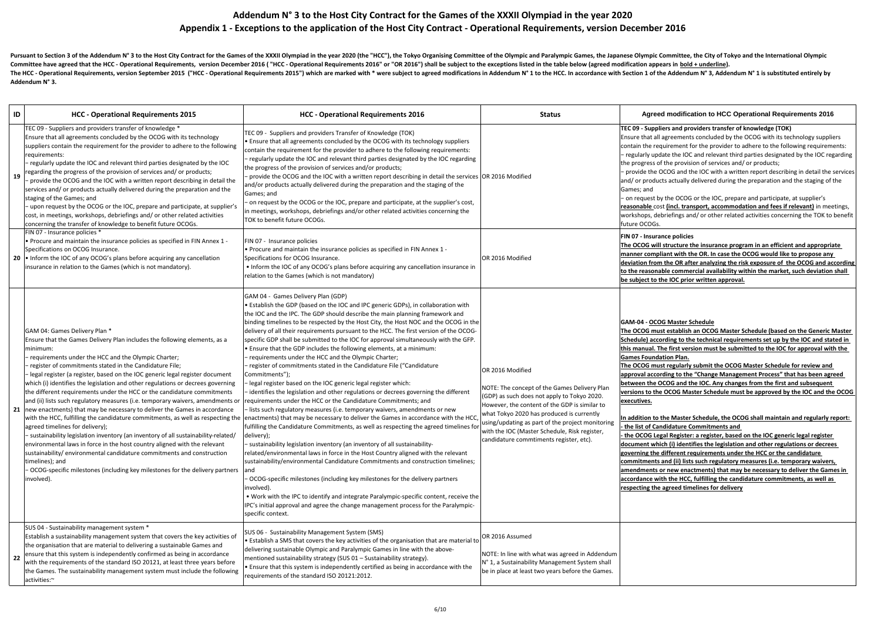Pursuant to Section 3 of the Addendum N° 3 to the Host City Contract for the Games of the XXXII Olympiad in the year 2020 (the "HCC"), the Tokyo Organising Committee of the Olympic and Paralympic Games, the Japanese Olympi Committee have agreed that the HCC - Operational Requirements, version December 2016 ("HCC - Operational Requirements 2016" or "OR 2016") shall be subject to the exceptions listed in the table below (agreed modification ap The HCC - Operational Requirements, version September 2015 ("HCC - Operational Requirements 2015") which are marked with \* were subject to agreed modifications in Addendum N° 1 to the HCC. In accordance with Section 1 of t **Addendum N° 3.**

| ID | <b>HCC - Operational Requirements 2015</b>                                                                                                                                                                                                                                                                                                                                                                                                                                                                                                                                                                                                                                                                                                                                                                                                                                                                                                                                                                                                                                                                                                     | <b>HCC - Operational Requirements 2016</b>                                                                                                                                                                                                                                                                                                                                                                                                                                                                                                                                                                                                                                                                                                                                                                                                                                                                                                                                                                                                                                                                                                                                                                                                                                                                                                                                                                                                                                                                                                                                                                                                                                                                                                                                                  |                                                                                                       |
|----|------------------------------------------------------------------------------------------------------------------------------------------------------------------------------------------------------------------------------------------------------------------------------------------------------------------------------------------------------------------------------------------------------------------------------------------------------------------------------------------------------------------------------------------------------------------------------------------------------------------------------------------------------------------------------------------------------------------------------------------------------------------------------------------------------------------------------------------------------------------------------------------------------------------------------------------------------------------------------------------------------------------------------------------------------------------------------------------------------------------------------------------------|---------------------------------------------------------------------------------------------------------------------------------------------------------------------------------------------------------------------------------------------------------------------------------------------------------------------------------------------------------------------------------------------------------------------------------------------------------------------------------------------------------------------------------------------------------------------------------------------------------------------------------------------------------------------------------------------------------------------------------------------------------------------------------------------------------------------------------------------------------------------------------------------------------------------------------------------------------------------------------------------------------------------------------------------------------------------------------------------------------------------------------------------------------------------------------------------------------------------------------------------------------------------------------------------------------------------------------------------------------------------------------------------------------------------------------------------------------------------------------------------------------------------------------------------------------------------------------------------------------------------------------------------------------------------------------------------------------------------------------------------------------------------------------------------|-------------------------------------------------------------------------------------------------------|
| 19 | TEC 09 - Suppliers and providers transfer of knowledge *<br>Ensure that all agreements concluded by the OCOG with its technology<br>suppliers contain the requirement for the provider to adhere to the following<br>requirements:<br>regularly update the IOC and relevant third parties designated by the IOC<br>regarding the progress of the provision of services and/ or products;<br>provide the OCOG and the IOC with a written report describing in detail the<br>services and/ or products actually delivered during the preparation and the<br>staging of the Games; and<br>- upon request by the OCOG or the IOC, prepare and participate, at supplier's<br>cost, in meetings, workshops, debriefings and/ or other related activities<br>concerning the transfer of knowledge to benefit future OCOGs.                                                                                                                                                                                                                                                                                                                            | TEC 09 - Suppliers and providers Transfer of Knowledge (TOK)<br>. Ensure that all agreements concluded by the OCOG with its technology suppliers<br>contain the requirement for the provider to adhere to the following requirements:<br>- regularly update the IOC and relevant third parties designated by the IOC regarding<br>the progress of the provision of services and/or products;<br>provide the OCOG and the IOC with a written report describing in detail the services OR 2016 I<br>and/or products actually delivered during the preparation and the staging of the<br>Games; and<br>- on request by the OCOG or the IOC, prepare and participate, at the supplier's cost,<br>in meetings, workshops, debriefings and/or other related activities concerning the<br>TOK to benefit future OCOGs.                                                                                                                                                                                                                                                                                                                                                                                                                                                                                                                                                                                                                                                                                                                                                                                                                                                                                                                                                                             |                                                                                                       |
|    | FIN 07 - Insurance policies *<br>• Procure and maintain the insurance policies as specified in FIN Annex 1 -<br>Specifications on OCOG Insurance.<br>20 • Inform the IOC of any OCOG's plans before acquiring any cancellation<br>linsurance in relation to the Games (which is not mandatory).                                                                                                                                                                                                                                                                                                                                                                                                                                                                                                                                                                                                                                                                                                                                                                                                                                                | FIN 07 - Insurance policies<br>. Procure and maintain the insurance policies as specified in FIN Annex 1 -<br>Specifications for OCOG Insurance.<br>• Inform the IOC of any OCOG's plans before acquiring any cancellation insurance in<br>relation to the Games (which is not mandatory)                                                                                                                                                                                                                                                                                                                                                                                                                                                                                                                                                                                                                                                                                                                                                                                                                                                                                                                                                                                                                                                                                                                                                                                                                                                                                                                                                                                                                                                                                                   | OR 2016 I                                                                                             |
|    | GAM 04: Games Delivery Plan *<br>Ensure that the Games Delivery Plan includes the following elements, as a<br>minimum:<br>requirements under the HCC and the Olympic Charter;<br>register of commitments stated in the Candidature File;<br>legal register (a register, based on the IOC generic legal register document<br>which (i) identifies the legislation and other regulations or decrees governing<br>the different requirements under the HCC or the candidature commitments<br>and (ii) lists such regulatory measures (i.e. temporary waivers, amendments or<br>21   new enactments) that may be necessary to deliver the Games in accordance<br>with the HCC, fulfilling the candidature commitments, as well as respecting the<br>agreed timelines for delivery);<br>- sustainability legislation inventory (an inventory of all sustainability-related/<br>environmental laws in force in the host country aligned with the relevant<br>sustainability/ environmental candidature commitments and construction<br>timelines); and<br>OCOG-specific milestones (including key milestones for the delivery partners<br>involved). | GAM 04 - Games Delivery Plan (GDP)<br>• Establish the GDP (based on the IOC and IPC generic GDPs), in collaboration with<br>the IOC and the IPC. The GDP should describe the main planning framework and<br>binding timelines to be respected by the Host City, the Host NOC and the OCOG in the<br>delivery of all their requirements pursuant to the HCC. The first version of the OCOG-<br>specific GDP shall be submitted to the IOC for approval simultaneously with the GFP.<br>. Ensure that the GDP includes the following elements, at a minimum:<br>requirements under the HCC and the Olympic Charter;<br>- register of commitments stated in the Candidature File ("Candidature<br>Commitments");<br>- legal register based on the IOC generic legal register which:<br>-identifies the legislation and other regulations or decrees governing the different<br>requirements under the HCC or the Candidature Commitments; and<br>- lists such regulatory measures (i.e. temporary waivers, amendments or new<br>enactments) that may be necessary to deliver the Games in accordance with the HCC,<br>fulfilling the Candidature Commitments, as well as respecting the agreed timelines for<br>delivery);<br>- sustainability legislation inventory (an inventory of all sustainability-<br>related/environmental laws in force in the Host Country aligned with the relevant<br>sustainability/environmental Candidature Commitments and construction timelines;<br>and<br>- OCOG-specific milestones (including key milestones for the delivery partners<br>involved).<br>. Work with the IPC to identify and integrate Paralympic-specific content, receive the<br>IPC's initial approval and agree the change management process for the Paralympic-<br>specific context. | OR 2016 I<br>NOTE: The<br>(GDP) as s<br>However,<br>what Toky<br>using/upc<br>with the I<br>candidatu |
| 22 | SUS 04 - Sustainability management system *<br>Establish a sustainability management system that covers the key activities of<br>the organisation that are material to delivering a sustainable Games and<br>ensure that this system is independently confirmed as being in accordance<br>with the requirements of the standard ISO 20121, at least three years before<br>the Games. The sustainability management system must include the following<br>activities:~                                                                                                                                                                                                                                                                                                                                                                                                                                                                                                                                                                                                                                                                           | SUS 06 - Sustainability Management System (SMS)<br>• Establish a SMS that covers the key activities of the organisation that are material to<br>delivering sustainable Olympic and Paralympic Games in line with the above-<br>mentioned sustainability strategy (SUS 01 - Sustainability strategy).<br>• Ensure that this system is independently certified as being in accordance with the<br>requirements of the standard ISO 20121:2012.                                                                                                                                                                                                                                                                                                                                                                                                                                                                                                                                                                                                                                                                                                                                                                                                                                                                                                                                                                                                                                                                                                                                                                                                                                                                                                                                                | OR 2016 /<br>NOTE: In I<br>$N^{\circ}$ 1, a Su<br>be in plac                                          |

**IDCC - Operational Requirements 2016 Agreed modification to HCC Operational Requirements 2016** Modified **TEC 09 - Suppliers and providers transfer of knowledge (TOK)** Ensure that all agreements concluded by the OCOG with its technology suppliers contain the requirement for the provider to adhere to the following requirements: − regularly update the IOC and relevant third parties designated by the IOC regarding the progress of the provision of services and/ or products; − provide the OCOG and the IOC with a written report describing in detail the services and/ or products actually delivered during the preparation and the staging of the Games; and − on request by the OCOG or the IOC, prepare and participate, at supplier's **reasonable** cost **(incl. transport, accommodation and fees if relevant)** in meetings, workshops, debriefings and/ or other related activities concerning the TOK to benefit future OCOGs. Modified **FIN 07 - Insurance policies The OCOG will structure the insurance program in an efficient and appropriate manner compliant with the OR. In case the OCOG would like to propose any deviation from the OR after analyzing the risk exposure of the OCOG and according to the reasonable commercial availability within the market, such deviation shall be subject to the IOC prior written approval.** Modified e concept of the Games Delivery Plan such does not apply to Tokyo 2020. the content of the GDP is similar to yo 2020 has produced is currently dating as part of the project monitoring OC (Master Schedule, Risk register, are commtiments register, etc). **GAM-04 - OCOG Master Schedule The OCOG must establish an OCOG Master Schedule (based on the Generic Master Schedule) according to the technical requirements set up by the IOC and stated in this manual. The first version must be submitted to the IOC for approval with the Games Foundation Plan. The OCOG must regularly submit the OCOG Master Schedule for review and approval according to the "Change Management Process" that has been agreed between the OCOG and the IOC. Any changes from the first and subsequent versions to the OCOG Master Schedule must be approved by the IOC and the OCOG executives. In addition to the Master Schedule, the OCOG shall maintain and regularly report: - the list of Candidature Commitments and - the OCOG Legal Register: a register, based on the IOC generic legal register document which (i) identifies the legislation and other regulations or decrees governing the different requirements under the HCC or the candidature commitments and (ii) lists such regulatory measures (i.e. temporary waivers, amendments or new enactments) that may be necessary to deliver the Games in accordance with the HCC, fulfilling the candidature commitments, as well as respecting the agreed timelines for delivery** Assumed line with what was agreed in Addendum Istainability Management System shall e at least two years before the Games.